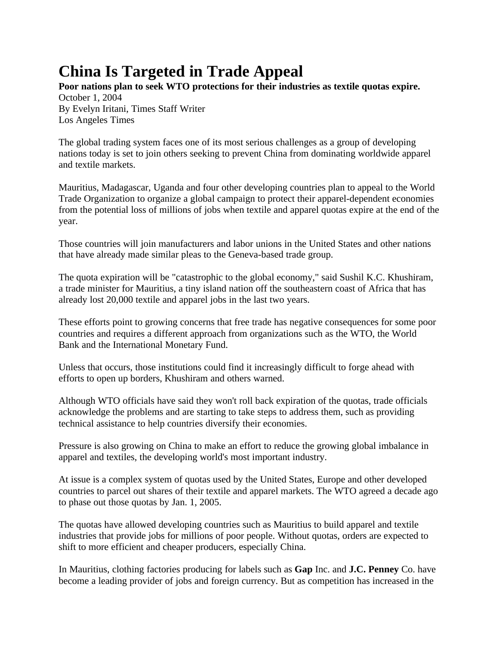## **China Is Targeted in Trade Appeal**

**Poor nations plan to seek WTO protections for their industries as textile quotas expire.** October 1, 2004 By Evelyn Iritani, Times Staff Writer Los Angeles Times

The global trading system faces one of its most serious challenges as a group of developing nations today is set to join others seeking to prevent China from dominating worldwide apparel and textile markets.

Mauritius, Madagascar, Uganda and four other developing countries plan to appeal to the World Trade Organization to organize a global campaign to protect their apparel-dependent economies from the potential loss of millions of jobs when textile and apparel quotas expire at the end of the year.

Those countries will join manufacturers and labor unions in the United States and other nations that have already made similar pleas to the Geneva-based trade group.

The quota expiration will be "catastrophic to the global economy," said Sushil K.C. Khushiram, a trade minister for Mauritius, a tiny island nation off the southeastern coast of Africa that has already lost 20,000 textile and apparel jobs in the last two years.

These efforts point to growing concerns that free trade has negative consequences for some poor countries and requires a different approach from organizations such as the WTO, the World Bank and the International Monetary Fund.

Unless that occurs, those institutions could find it increasingly difficult to forge ahead with efforts to open up borders, Khushiram and others warned.

Although WTO officials have said they won't roll back expiration of the quotas, trade officials acknowledge the problems and are starting to take steps to address them, such as providing technical assistance to help countries diversify their economies.

Pressure is also growing on China to make an effort to reduce the growing global imbalance in apparel and textiles, the developing world's most important industry.

At issue is a complex system of quotas used by the United States, Europe and other developed countries to parcel out shares of their textile and apparel markets. The WTO agreed a decade ago to phase out those quotas by Jan. 1, 2005.

The quotas have allowed developing countries such as Mauritius to build apparel and textile industries that provide jobs for millions of poor people. Without quotas, orders are expected to shift to more efficient and cheaper producers, especially China.

In Mauritius, clothing factories producing for labels such as **Gap** Inc. and **J.C. Penney** Co. have become a leading provider of jobs and foreign currency. But as competition has increased in the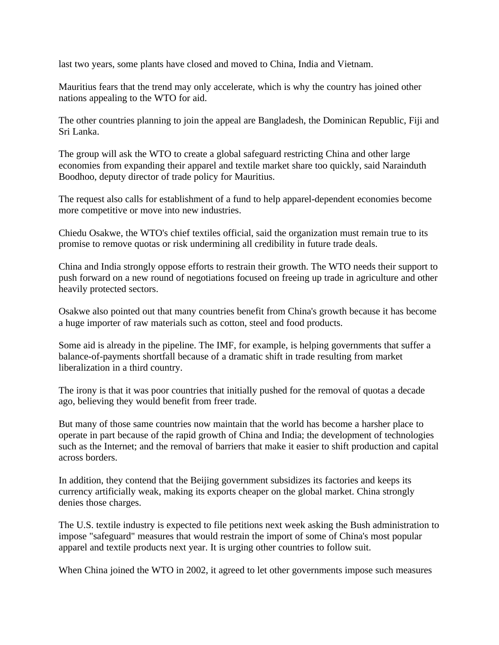last two years, some plants have closed and moved to China, India and Vietnam.

Mauritius fears that the trend may only accelerate, which is why the country has joined other nations appealing to the WTO for aid.

The other countries planning to join the appeal are Bangladesh, the Dominican Republic, Fiji and Sri Lanka.

The group will ask the WTO to create a global safeguard restricting China and other large economies from expanding their apparel and textile market share too quickly, said Narainduth Boodhoo, deputy director of trade policy for Mauritius.

The request also calls for establishment of a fund to help apparel-dependent economies become more competitive or move into new industries.

Chiedu Osakwe, the WTO's chief textiles official, said the organization must remain true to its promise to remove quotas or risk undermining all credibility in future trade deals.

China and India strongly oppose efforts to restrain their growth. The WTO needs their support to push forward on a new round of negotiations focused on freeing up trade in agriculture and other heavily protected sectors.

Osakwe also pointed out that many countries benefit from China's growth because it has become a huge importer of raw materials such as cotton, steel and food products.

Some aid is already in the pipeline. The IMF, for example, is helping governments that suffer a balance-of-payments shortfall because of a dramatic shift in trade resulting from market liberalization in a third country.

The irony is that it was poor countries that initially pushed for the removal of quotas a decade ago, believing they would benefit from freer trade.

But many of those same countries now maintain that the world has become a harsher place to operate in part because of the rapid growth of China and India; the development of technologies such as the Internet; and the removal of barriers that make it easier to shift production and capital across borders.

In addition, they contend that the Beijing government subsidizes its factories and keeps its currency artificially weak, making its exports cheaper on the global market. China strongly denies those charges.

The U.S. textile industry is expected to file petitions next week asking the Bush administration to impose "safeguard" measures that would restrain the import of some of China's most popular apparel and textile products next year. It is urging other countries to follow suit.

When China joined the WTO in 2002, it agreed to let other governments impose such measures